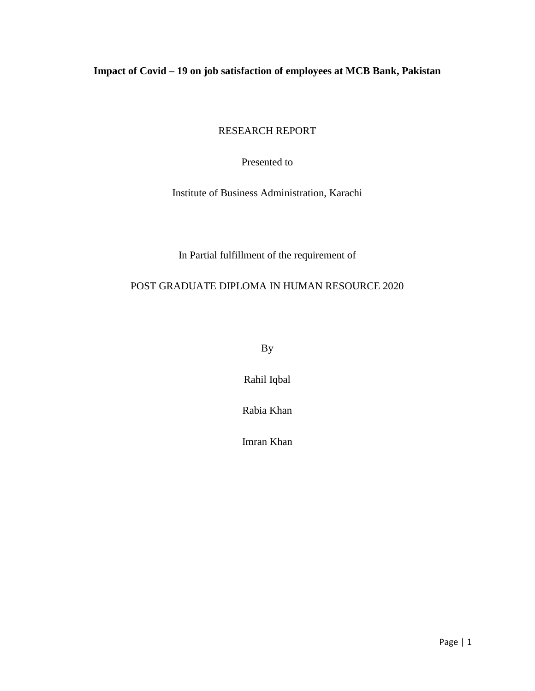## <span id="page-0-0"></span>**Impact of Covid – 19 on job satisfaction of employees at MCB Bank, Pakistan**

RESEARCH REPORT

Presented to

Institute of Business Administration, Karachi

In Partial fulfillment of the requirement of

### POST GRADUATE DIPLOMA IN HUMAN RESOURCE 2020

By

Rahil Iqbal

Rabia Khan

Imran Khan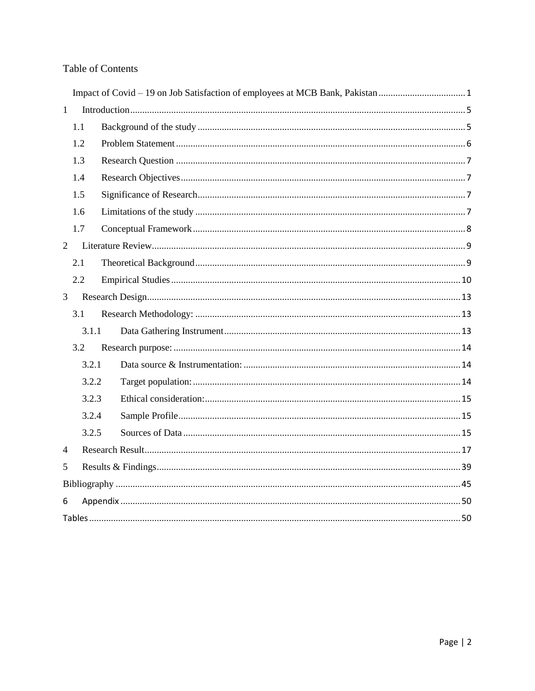### **Table of Contents**

| $\mathbf{1}$   |       |  |
|----------------|-------|--|
|                | 1.1   |  |
|                | 1.2   |  |
|                | 1.3   |  |
|                | 1.4   |  |
|                | 1.5   |  |
|                | 1.6   |  |
|                | 1.7   |  |
| $\overline{2}$ |       |  |
|                | 2.1   |  |
|                | 2.2   |  |
| $\overline{3}$ |       |  |
|                | 3.1   |  |
|                | 3.1.1 |  |
|                | 3.2   |  |
|                | 3.2.1 |  |
|                | 3.2.2 |  |
|                | 3.2.3 |  |
|                | 3.2.4 |  |
|                | 3.2.5 |  |
| 4              |       |  |
| 5              |       |  |
|                |       |  |
| 6              |       |  |
|                |       |  |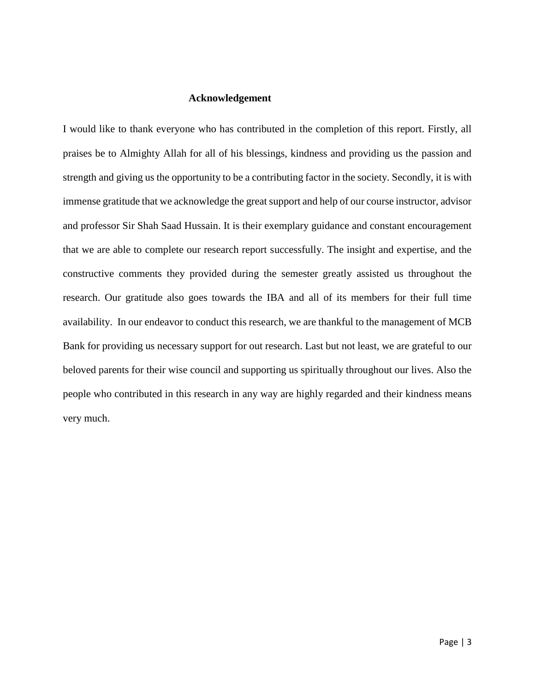#### **Acknowledgement**

I would like to thank everyone who has contributed in the completion of this report. Firstly, all praises be to Almighty Allah for all of his blessings, kindness and providing us the passion and strength and giving us the opportunity to be a contributing factor in the society. Secondly, it is with immense gratitude that we acknowledge the great support and help of our course instructor, advisor and professor Sir Shah Saad Hussain. It is their exemplary guidance and constant encouragement that we are able to complete our research report successfully. The insight and expertise, and the constructive comments they provided during the semester greatly assisted us throughout the research. Our gratitude also goes towards the IBA and all of its members for their full time availability. In our endeavor to conduct this research, we are thankful to the management of MCB Bank for providing us necessary support for out research. Last but not least, we are grateful to our beloved parents for their wise council and supporting us spiritually throughout our lives. Also the people who contributed in this research in any way are highly regarded and their kindness means very much.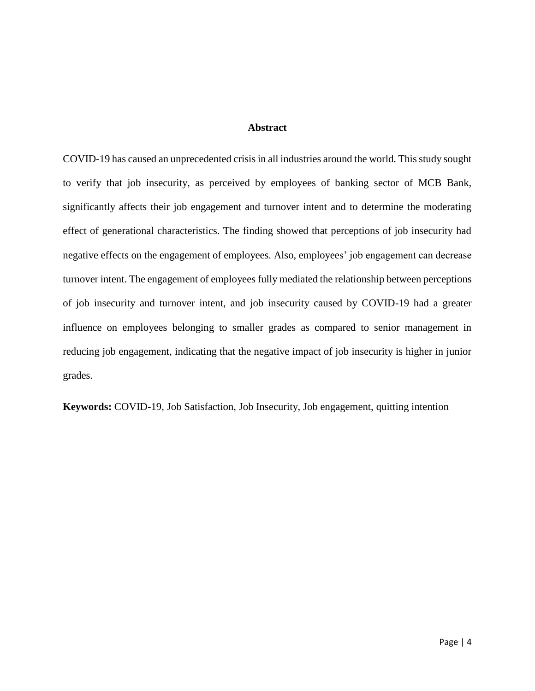#### **Abstract**

COVID-19 has caused an unprecedented crisis in all industries around the world. This study sought to verify that job insecurity, as perceived by employees of banking sector of MCB Bank, significantly affects their job engagement and turnover intent and to determine the moderating effect of generational characteristics. The finding showed that perceptions of job insecurity had negative effects on the engagement of employees. Also, employees' job engagement can decrease turnover intent. The engagement of employees fully mediated the relationship between perceptions of job insecurity and turnover intent, and job insecurity caused by COVID-19 had a greater influence on employees belonging to smaller grades as compared to senior management in reducing job engagement, indicating that the negative impact of job insecurity is higher in junior grades.

**Keywords:** COVID-19, Job Satisfaction, Job Insecurity, Job engagement, quitting intention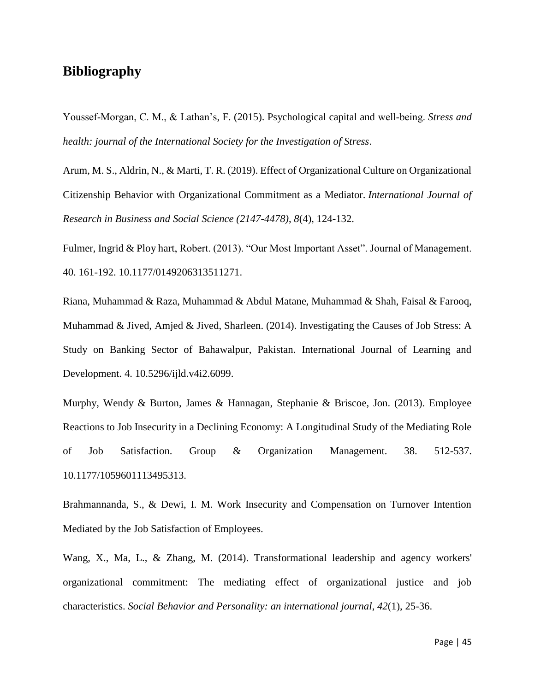## <span id="page-4-0"></span>**Bibliography**

Youssef‐Morgan, C. M., & Lathan's, F. (2015). Psychological capital and well‐being. *Stress and health: journal of the International Society for the Investigation of Stress*.

Arum, M. S., Aldrin, N., & Marti, T. R. (2019). Effect of Organizational Culture on Organizational Citizenship Behavior with Organizational Commitment as a Mediator. *International Journal of Research in Business and Social Science (2147-4478)*, *8*(4), 124-132.

Fulmer, Ingrid & Ploy hart, Robert. (2013). "Our Most Important Asset". Journal of Management. 40. 161-192. 10.1177/0149206313511271.

Riana, Muhammad & Raza, Muhammad & Abdul Matane, Muhammad & Shah, Faisal & Farooq, Muhammad & Jived, Amjed & Jived, Sharleen. (2014). Investigating the Causes of Job Stress: A Study on Banking Sector of Bahawalpur, Pakistan. International Journal of Learning and Development. 4. 10.5296/ijld.v4i2.6099.

Murphy, Wendy & Burton, James & Hannagan, Stephanie & Briscoe, Jon. (2013). Employee Reactions to Job Insecurity in a Declining Economy: A Longitudinal Study of the Mediating Role of Job Satisfaction. Group & Organization Management. 38. 512-537. 10.1177/1059601113495313.

Brahmannanda, S., & Dewi, I. M. Work Insecurity and Compensation on Turnover Intention Mediated by the Job Satisfaction of Employees.

Wang, X., Ma, L., & Zhang, M. (2014). Transformational leadership and agency workers' organizational commitment: The mediating effect of organizational justice and job characteristics. *Social Behavior and Personality: an international journal*, *42*(1), 25-36.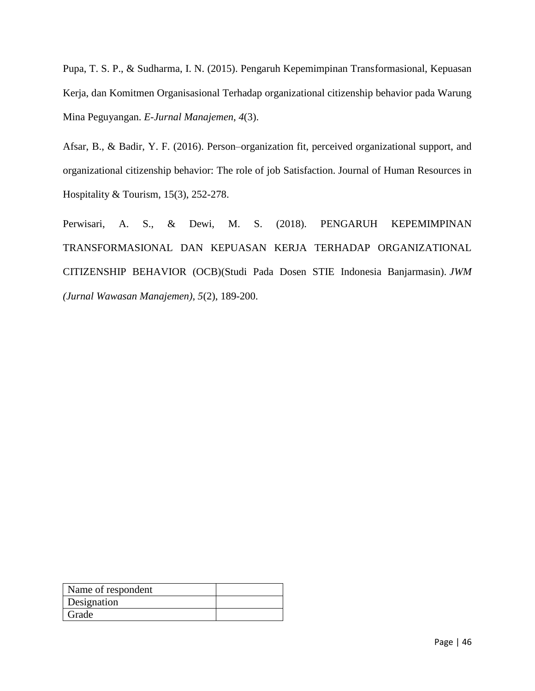Pupa, T. S. P., & Sudharma, I. N. (2015). Pengaruh Kepemimpinan Transformasional, Kepuasan Kerja, dan Komitmen Organisasional Terhadap organizational citizenship behavior pada Warung Mina Peguyangan. *E-Jurnal Manajemen*, *4*(3).

Afsar, B., & Badir, Y. F. (2016). Person–organization fit, perceived organizational support, and organizational citizenship behavior: The role of job Satisfaction. Journal of Human Resources in Hospitality & Tourism, 15(3), 252-278.

Perwisari, A. S., & Dewi, M. S. (2018). PENGARUH KEPEMIMPINAN TRANSFORMASIONAL DAN KEPUASAN KERJA TERHADAP ORGANIZATIONAL CITIZENSHIP BEHAVIOR (OCB)(Studi Pada Dosen STIE Indonesia Banjarmasin). *JWM (Jurnal Wawasan Manajemen)*, *5*(2), 189-200.

| Name of respondent |  |
|--------------------|--|
| Designation        |  |
| Grade              |  |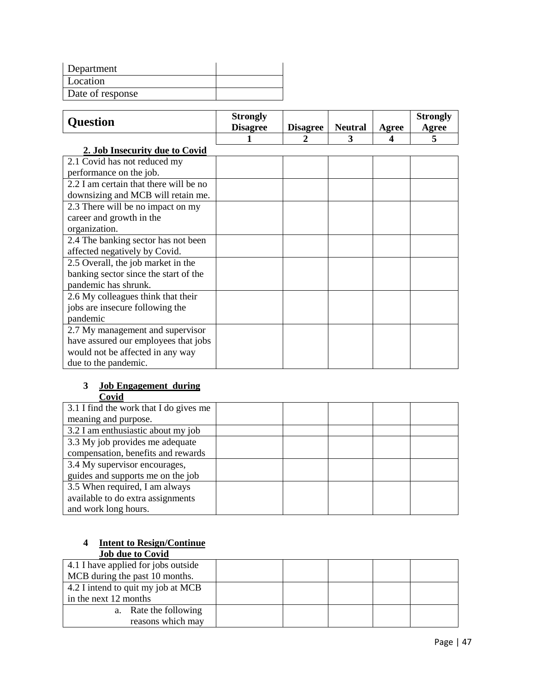| Department       |  |
|------------------|--|
| Location         |  |
| Date of response |  |

|                                        | <b>Strongly</b> |                 |                |              | <b>Strongly</b> |
|----------------------------------------|-----------------|-----------------|----------------|--------------|-----------------|
| <b>Question</b>                        | <b>Disagree</b> | <b>Disagree</b> | <b>Neutral</b> | <b>Agree</b> | Agree           |
|                                        |                 | 2               | 3              | 4            | 5               |
| 2. Job Insecurity due to Covid         |                 |                 |                |              |                 |
| 2.1 Covid has not reduced my           |                 |                 |                |              |                 |
| performance on the job.                |                 |                 |                |              |                 |
| 2.2 I am certain that there will be no |                 |                 |                |              |                 |
| downsizing and MCB will retain me.     |                 |                 |                |              |                 |
| 2.3 There will be no impact on my      |                 |                 |                |              |                 |
| career and growth in the               |                 |                 |                |              |                 |
| organization.                          |                 |                 |                |              |                 |
| 2.4 The banking sector has not been    |                 |                 |                |              |                 |
| affected negatively by Covid.          |                 |                 |                |              |                 |
| 2.5 Overall, the job market in the     |                 |                 |                |              |                 |
| banking sector since the start of the  |                 |                 |                |              |                 |
| pandemic has shrunk.                   |                 |                 |                |              |                 |
| 2.6 My colleagues think that their     |                 |                 |                |              |                 |
| jobs are insecure following the        |                 |                 |                |              |                 |
| pandemic                               |                 |                 |                |              |                 |
| 2.7 My management and supervisor       |                 |                 |                |              |                 |
| have assured our employees that jobs   |                 |                 |                |              |                 |
| would not be affected in any way       |                 |                 |                |              |                 |
| due to the pandemic.                   |                 |                 |                |              |                 |

### **3 Job Engagement during Covid**

| ----                                   |  |  |  |
|----------------------------------------|--|--|--|
| 3.1 I find the work that I do gives me |  |  |  |
| meaning and purpose.                   |  |  |  |
| 3.2 I am enthusiastic about my job     |  |  |  |
| 3.3 My job provides me adequate        |  |  |  |
| compensation, benefits and rewards     |  |  |  |
| 3.4 My supervisor encourages,          |  |  |  |
| guides and supports me on the job      |  |  |  |
| 3.5 When required, I am always         |  |  |  |
| available to do extra assignments      |  |  |  |
| and work long hours.                   |  |  |  |

#### **4 Intent to Resign/Continue Job due to Covid**

| 4.1 I have applied for jobs outside |  |  |  |
|-------------------------------------|--|--|--|
| MCB during the past 10 months.      |  |  |  |
| 4.2 I intend to quit my job at MCB  |  |  |  |
| in the next 12 months               |  |  |  |
| a. Rate the following               |  |  |  |
| reasons which may                   |  |  |  |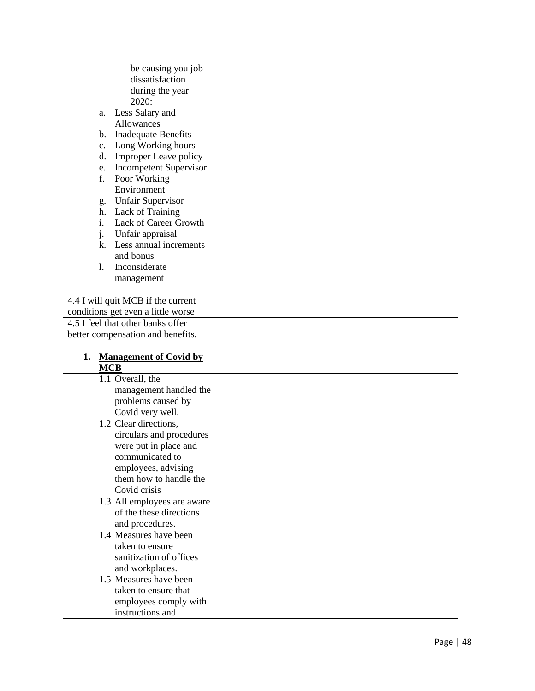| be causing you job<br>dissatisfaction<br>during the year<br>2020:<br>Less Salary and<br>a.<br><b>Allowances</b><br><b>Inadequate Benefits</b><br>b.<br>Long Working hours<br>c.<br><b>Improper Leave policy</b><br>d.<br><b>Incompetent Supervisor</b><br>e.<br>f.<br>Poor Working<br>Environment<br><b>Unfair Supervisor</b><br>g.<br>h. Lack of Training<br>Lack of Career Growth<br>i.<br>Unfair appraisal<br>1.<br>Less annual increments<br>k.<br>and bonus<br>Inconsiderate<br>1.<br>management |  |  |  |
|-------------------------------------------------------------------------------------------------------------------------------------------------------------------------------------------------------------------------------------------------------------------------------------------------------------------------------------------------------------------------------------------------------------------------------------------------------------------------------------------------------|--|--|--|
|                                                                                                                                                                                                                                                                                                                                                                                                                                                                                                       |  |  |  |
| 4.4 I will quit MCB if the current<br>conditions get even a little worse                                                                                                                                                                                                                                                                                                                                                                                                                              |  |  |  |
| 4.5 I feel that other banks offer<br>better compensation and benefits.                                                                                                                                                                                                                                                                                                                                                                                                                                |  |  |  |

## **1. Management of Covid by**

| P. |  |
|----|--|
|----|--|

| 1.1 Overall, the<br>management handled the<br>problems caused by<br>Covid very well.<br>1.2 Clear directions,<br>circulars and procedures<br>were put in place and<br>communicated to<br>employees, advising<br>them how to handle the<br>Covid crisis<br>1.3 All employees are aware<br>of the these directions<br>and procedures.<br>1.4 Measures have been<br>taken to ensure<br>sanitization of offices<br>and workplaces.<br>1.5 Measures have been<br>taken to ensure that<br>employees comply with<br>instructions and | ww |  |  |  |
|-------------------------------------------------------------------------------------------------------------------------------------------------------------------------------------------------------------------------------------------------------------------------------------------------------------------------------------------------------------------------------------------------------------------------------------------------------------------------------------------------------------------------------|----|--|--|--|
|                                                                                                                                                                                                                                                                                                                                                                                                                                                                                                                               |    |  |  |  |
|                                                                                                                                                                                                                                                                                                                                                                                                                                                                                                                               |    |  |  |  |
|                                                                                                                                                                                                                                                                                                                                                                                                                                                                                                                               |    |  |  |  |
|                                                                                                                                                                                                                                                                                                                                                                                                                                                                                                                               |    |  |  |  |
|                                                                                                                                                                                                                                                                                                                                                                                                                                                                                                                               |    |  |  |  |
|                                                                                                                                                                                                                                                                                                                                                                                                                                                                                                                               |    |  |  |  |
|                                                                                                                                                                                                                                                                                                                                                                                                                                                                                                                               |    |  |  |  |
|                                                                                                                                                                                                                                                                                                                                                                                                                                                                                                                               |    |  |  |  |
|                                                                                                                                                                                                                                                                                                                                                                                                                                                                                                                               |    |  |  |  |
|                                                                                                                                                                                                                                                                                                                                                                                                                                                                                                                               |    |  |  |  |
|                                                                                                                                                                                                                                                                                                                                                                                                                                                                                                                               |    |  |  |  |
|                                                                                                                                                                                                                                                                                                                                                                                                                                                                                                                               |    |  |  |  |
|                                                                                                                                                                                                                                                                                                                                                                                                                                                                                                                               |    |  |  |  |
|                                                                                                                                                                                                                                                                                                                                                                                                                                                                                                                               |    |  |  |  |
|                                                                                                                                                                                                                                                                                                                                                                                                                                                                                                                               |    |  |  |  |
|                                                                                                                                                                                                                                                                                                                                                                                                                                                                                                                               |    |  |  |  |
|                                                                                                                                                                                                                                                                                                                                                                                                                                                                                                                               |    |  |  |  |
|                                                                                                                                                                                                                                                                                                                                                                                                                                                                                                                               |    |  |  |  |
|                                                                                                                                                                                                                                                                                                                                                                                                                                                                                                                               |    |  |  |  |
|                                                                                                                                                                                                                                                                                                                                                                                                                                                                                                                               |    |  |  |  |
|                                                                                                                                                                                                                                                                                                                                                                                                                                                                                                                               |    |  |  |  |
|                                                                                                                                                                                                                                                                                                                                                                                                                                                                                                                               |    |  |  |  |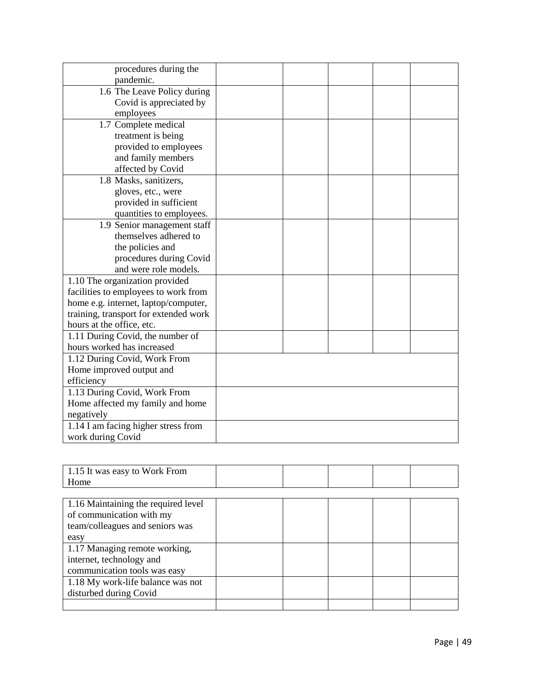| procedures during the                 |  |  |  |
|---------------------------------------|--|--|--|
| pandemic.                             |  |  |  |
| 1.6 The Leave Policy during           |  |  |  |
| Covid is appreciated by               |  |  |  |
| employees                             |  |  |  |
| 1.7 Complete medical                  |  |  |  |
| treatment is being                    |  |  |  |
| provided to employees                 |  |  |  |
| and family members                    |  |  |  |
| affected by Covid                     |  |  |  |
| 1.8 Masks, sanitizers,                |  |  |  |
| gloves, etc., were                    |  |  |  |
| provided in sufficient                |  |  |  |
| quantities to employees.              |  |  |  |
| 1.9 Senior management staff           |  |  |  |
| themselves adhered to                 |  |  |  |
| the policies and                      |  |  |  |
| procedures during Covid               |  |  |  |
| and were role models.                 |  |  |  |
| 1.10 The organization provided        |  |  |  |
| facilities to employees to work from  |  |  |  |
| home e.g. internet, laptop/computer,  |  |  |  |
| training, transport for extended work |  |  |  |
| hours at the office, etc.             |  |  |  |
| 1.11 During Covid, the number of      |  |  |  |
| hours worked has increased            |  |  |  |
| 1.12 During Covid, Work From          |  |  |  |
| Home improved output and              |  |  |  |
| efficiency                            |  |  |  |
| 1.13 During Covid, Work From          |  |  |  |
| Home affected my family and home      |  |  |  |
| negatively                            |  |  |  |
| 1.14 I am facing higher stress from   |  |  |  |
| work during Covid                     |  |  |  |

| 1.15 It was easy to Work From       |  |  |  |
|-------------------------------------|--|--|--|
| Home                                |  |  |  |
|                                     |  |  |  |
| 1.16 Maintaining the required level |  |  |  |
| of communication with my            |  |  |  |
| team/colleagues and seniors was     |  |  |  |
| easy                                |  |  |  |
| 1.17 Managing remote working,       |  |  |  |
| internet, technology and            |  |  |  |
| communication tools was easy        |  |  |  |
| 1.18 My work-life balance was not   |  |  |  |
| disturbed during Covid              |  |  |  |
|                                     |  |  |  |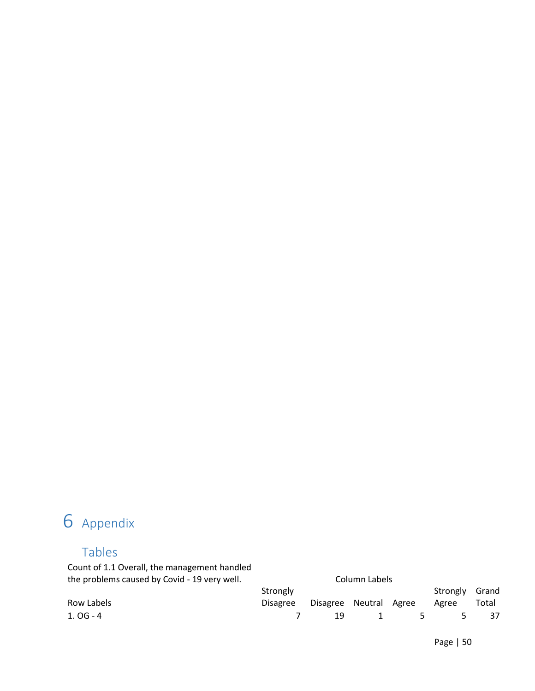# <span id="page-9-1"></span><span id="page-9-0"></span>6 Appendix

# Tables

Count of 1.1 Overall, the management handled the problems caused by Covid - 19 very well. Column Labels

| Strongly |  |  |  |                                                   |                                              |
|----------|--|--|--|---------------------------------------------------|----------------------------------------------|
|          |  |  |  |                                                   |                                              |
|          |  |  |  |                                                   |                                              |
|          |  |  |  | --------------<br>Disagree Disagree Neutral Agree | Strongly Grand<br>Agree Total<br>19 1 5 5 37 |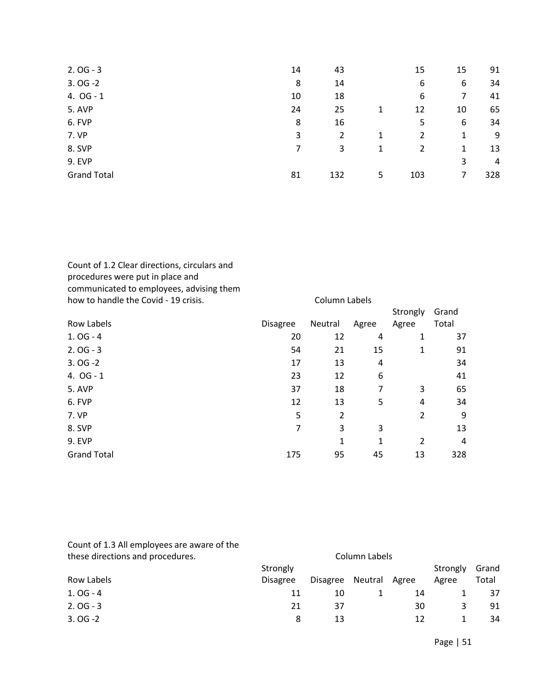| $2.0G - 3$         | 14 | 43  |    | 15  | 15 | 91  |
|--------------------|----|-----|----|-----|----|-----|
| $3.0G - 2$         | 8  | 14  |    | 6   | 6  | 34  |
| 4. $OG - 1$        | 10 | 18  |    | 6   | 7  | 41  |
| 5. AVP             | 24 | 25  | 1  | 12  | 10 | 65  |
| 6. FVP             | 8  | 16  |    | 5   | 6  | 34  |
| 7. VP              | 3  | 2   | 1  | 2   | 1  | 9   |
| 8. SVP             | 7  | 3   | 1  | 2   | 1  | 13  |
| <b>9. EVP</b>      |    |     |    |     | 3  | 4   |
| <b>Grand Total</b> | 81 | 132 | 5. | 103 | 7  | 328 |

Count of 1.2 Clear directions, circulars and procedures were put in place and communicated to employees, advising them how to handle the Covid - 19 crisis. Column Labels

|                    |                 |         |       | Strongly | Grand |
|--------------------|-----------------|---------|-------|----------|-------|
| Row Labels         | <b>Disagree</b> | Neutral | Agree | Agree    | Total |
| $1.0G - 4$         | 20              | 12      | 4     | 1        | 37    |
| $2.0G - 3$         | 54              | 21      | 15    | 1        | 91    |
| $3.0G - 2$         | 17              | 13      | 4     |          | 34    |
| 4. $OG - 1$        | 23              | 12      | 6     |          | 41    |
| 5. AVP             | 37              | 18      | 7     | 3        | 65    |
| 6. FVP             | 12              | 13      | 5     | 4        | 34    |
| 7. VP              | 5               | 2       |       | 2        | 9     |
| 8. SVP             | 7               | 3       | 3     |          | 13    |
| <b>9. EVP</b>      |                 | 1       | 1     | 2        | 4     |
| <b>Grand Total</b> | 175             | 95      | 45    | 13       | 328   |

| Count of 1.3 All employees are aware of the<br>these directions and procedures. |                 |                 | Column Labels |       |          |       |
|---------------------------------------------------------------------------------|-----------------|-----------------|---------------|-------|----------|-------|
|                                                                                 | Strongly        |                 |               |       | Strongly | Grand |
| Row Labels                                                                      | <b>Disagree</b> | <b>Disagree</b> | Neutral       | Agree | Agree    | Total |
| $1.0G - 4$                                                                      | 11              | 10              |               | 14    |          | 37    |
| $2.0G - 3$                                                                      | 21              | 37              |               | 30    | 3        | 91    |
| $3.0G - 2$                                                                      | 8               | 13              |               | 12    |          | 34    |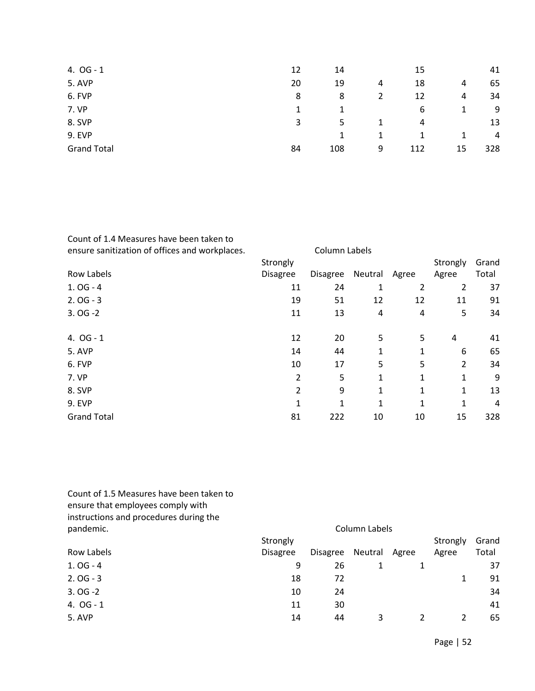| 4. $OG - 1$        | 12 | 14  |   | 15  |    | 41  |
|--------------------|----|-----|---|-----|----|-----|
| <b>5. AVP</b>      | 20 | 19  | 4 | 18  | 4  | 65  |
| 6. FVP             | 8  | 8   | 2 | 12  | 4  | 34  |
| 7. VP              |    |     |   | 6   | 1  | 9   |
| 8. SVP             | 3  | 5.  |   | 4   |    | 13  |
| <b>9. EVP</b>      |    | 1   |   |     | 1  | 4   |
| <b>Grand Total</b> | 84 | 108 | 9 | 112 | 15 | 328 |

| ensure sanitization of offices and workplaces. |                 | Column Labels   |         |       |          |       |
|------------------------------------------------|-----------------|-----------------|---------|-------|----------|-------|
|                                                | Strongly        |                 |         |       | Strongly | Grand |
| Row Labels                                     | <b>Disagree</b> | <b>Disagree</b> | Neutral | Agree | Agree    | Total |
| $1.0G - 4$                                     | 11              | 24              | 1       | 2     | 2        | 37    |
| $2.0G - 3$                                     | 19              | 51              | 12      | 12    | 11       | 91    |
| $3.0G - 2$                                     | 11              | 13              | 4       | 4     | 5        | 34    |
| 4. $OG - 1$                                    | 12              | 20              | 5       | 5     | 4        | 41    |
| 5. AVP                                         | 14              | 44              | 1       | 1     | 6        | 65    |
| 6. FVP                                         | 10              | 17              | 5       | 5     | 2        | 34    |
| 7. VP                                          | 2               | 5               | 1       |       | 1        | 9     |
| 8. SVP                                         | 2               | 9               | 1       |       | 1        | 13    |
| <b>9. EVP</b>                                  |                 | 1               | 1       | 1     | 1        | 4     |
| <b>Grand Total</b>                             | 81              | 222             | 10      | 10    | 15       | 328   |

| Count of 1.5 Measures have been taken to |
|------------------------------------------|
| ensure that employees comply with        |
| instructions and procedures during the   |
| pandemic.                                |

| pandemic.     |                 |                 | Column Labels |       |               |       |
|---------------|-----------------|-----------------|---------------|-------|---------------|-------|
|               | Strongly        |                 |               |       | Strongly      | Grand |
| Row Labels    | <b>Disagree</b> | <b>Disagree</b> | Neutral       | Agree | Agree         | Total |
| $1.0G - 4$    | 9               | 26              |               |       |               | 37    |
| $2.0G - 3$    | 18              | 72              |               |       |               | 91    |
| $3.0G - 2$    | 10              | 24              |               |       |               | 34    |
| 4. $OG - 1$   | 11              | 30              |               |       |               | 41    |
| <b>5. AVP</b> | 14              | 44              | 3             |       | $\mathcal{P}$ | 65    |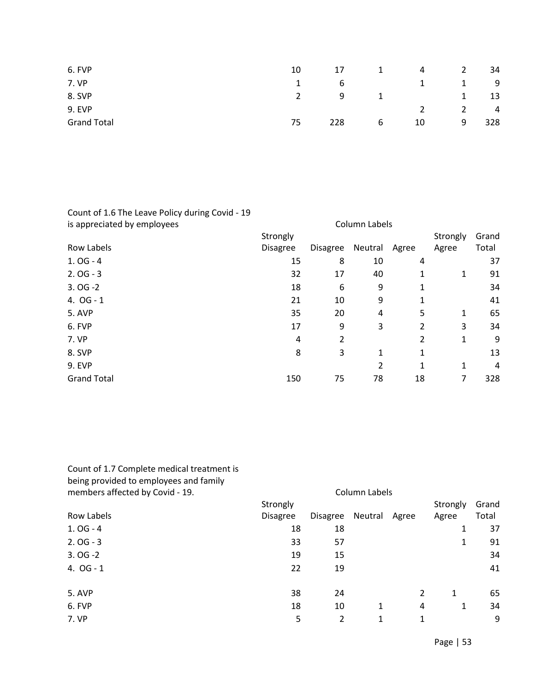| 6. FVP             | 10 | 17  | 1            | 4  | 2 | 34  |
|--------------------|----|-----|--------------|----|---|-----|
| 7. VP              |    | 6   |              |    | ᅩ | 9   |
| 8. SVP             |    | 9   | $\mathbf{1}$ |    | ᅩ | 13  |
| <b>9. EVP</b>      |    |     |              |    |   | 4   |
| <b>Grand Total</b> | 75 | 228 | 6            | 10 | 9 | 328 |

#### Count of 1.6 The Leave Policy during Covid - 19 is appreciated by employees **Column Labels** Column Labels Row Labels **Strongly** Disagree Disagree Neutral Agree Strongly Grand Agree Total 1. OG - 4 37 2. OG - 3 32 17 40 1 1 91  $3.0G - 2$  34 4. OG - 1 21 10 9 1 41 5. AVP 35 20 4 5 1 65 6. FVP 2 3 3 3 4 7. VP 4 2 2 1 9 8. SVP 8 3 3 1 1 1 3 9. EVP 2 1 4 Grand Total 150 75 78 18 7 328

Count of 1.7 Complete medical treatment is being provided to employees and family

| members affected by Covid - 19. |                 |                 | Column Labels |       |          |       |
|---------------------------------|-----------------|-----------------|---------------|-------|----------|-------|
|                                 | Strongly        |                 |               |       | Strongly | Grand |
| Row Labels                      | <b>Disagree</b> | <b>Disagree</b> | Neutral       | Agree | Agree    | Total |
| $1.0G - 4$                      | 18              | 18              |               |       | 1        | 37    |
| $2.0G - 3$                      | 33              | 57              |               |       | 1        | 91    |
| $3.0G - 2$                      | 19              | 15              |               |       |          | 34    |
| 4. $OG - 1$                     | 22              | 19              |               |       |          | 41    |
|                                 |                 |                 |               |       |          |       |
| 5. AVP                          | 38              | 24              |               | 2     | 1        | 65    |
| 6. FVP                          | 18              | 10              | 1             | 4     | 1        | 34    |
| 7. VP                           | 5               | 2               | 1             | 1     |          | 9     |
|                                 |                 |                 |               |       |          |       |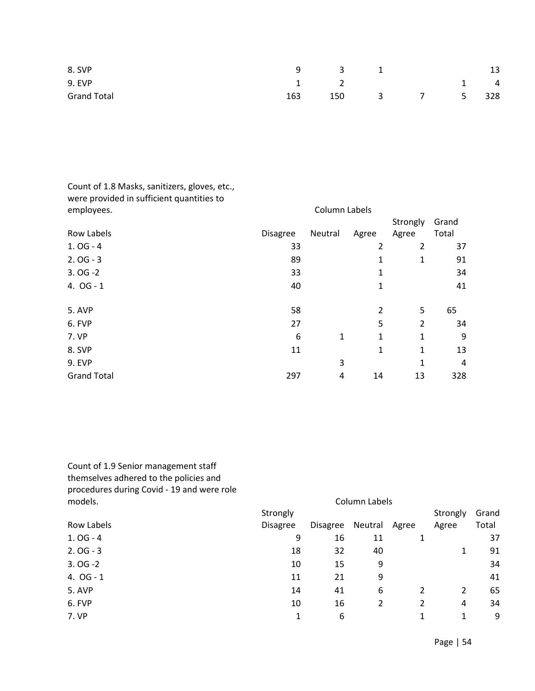| 8. SVP             |     | $9 \qquad \qquad 3$ |           | 13          |
|--------------------|-----|---------------------|-----------|-------------|
| 9. EVP             |     | $\overline{2}$      |           | $1 \quad 4$ |
| <b>Grand Total</b> | 163 | 150                 | 3 7 5 328 |             |

| Count of 1.8 Masks, sanitizers, gloves, etc.,<br>were provided in sufficient quantities to |                 |               |                |                |       |
|--------------------------------------------------------------------------------------------|-----------------|---------------|----------------|----------------|-------|
| employees.                                                                                 |                 | Column Labels |                |                |       |
|                                                                                            |                 |               |                | Strongly       | Grand |
| Row Labels                                                                                 | <b>Disagree</b> | Neutral       | Agree          | Agree          | Total |
| $1.0G - 4$                                                                                 | 33              |               | 2              | 2              | 37    |
| $2.0G - 3$                                                                                 | 89              |               | 1              | 1              | 91    |
| $3.0G - 2$                                                                                 | 33              |               | 1              |                | 34    |
| 4. $OG - 1$                                                                                | 40              |               | 1              |                | 41    |
|                                                                                            |                 |               |                |                |       |
| 5. AVP                                                                                     | 58              |               | $\overline{2}$ | 5              | 65    |
| 6. FVP                                                                                     | 27              |               | 5              | $\overline{2}$ | 34    |
| 7. VP                                                                                      | 6               | 1             | $\mathbf{1}$   | $\mathbf{1}$   | 9     |
| 8. SVP                                                                                     | 11              |               | 1              | 1              | 13    |
| <b>9. EVP</b>                                                                              |                 | 3             |                | 1              | 4     |
| <b>Grand Total</b>                                                                         | 297             | 4             | 14             | 13             | 328   |

Count of 1.9 Senior management staff themselves adhered to the policies and procedures during Covid - 19 and were role models. Column Labels

|             | Strongly        |                 |         |       | Strongly | Grand |
|-------------|-----------------|-----------------|---------|-------|----------|-------|
| Row Labels  | <b>Disagree</b> | <b>Disagree</b> | Neutral | Agree | Agree    | Total |
| $1.0G - 4$  | 9               | 16              | 11      | 1     |          | 37    |
| $2.0G - 3$  | 18              | 32              | 40      |       | 1        | 91    |
| $3.0G - 2$  | 10              | 15              | 9       |       |          | 34    |
| 4. $OG - 1$ | 11              | 21              | 9       |       |          | 41    |
| 5. AVP      | 14              | 41              | 6       | 2     | 2        | 65    |
| 6. FVP      | 10              | 16              | 2       | 2     | 4        | 34    |
| 7. VP       | 1               | 6               |         |       | 1        | 9     |
|             |                 |                 |         |       |          |       |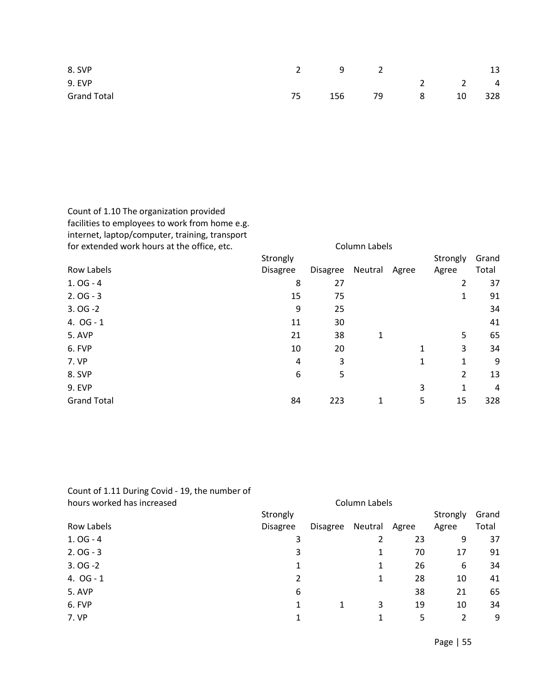| 8. SVP             |    | $2 \qquad \qquad 9$ |    |                 |             | 13 |
|--------------------|----|---------------------|----|-----------------|-------------|----|
| 9. EVP             |    |                     |    |                 | $2 \t2 \t4$ |    |
| <b>Grand Total</b> | 75 | 156                 | 79 | $8\overline{)}$ | 10 328      |    |

Count of 1.10 The organization provided facilities to employees to work from home e.g. internet, laptop/computer, training, transport

| for extended work hours at the office, etc. |                 |                 | Column Labels |       |          |       |
|---------------------------------------------|-----------------|-----------------|---------------|-------|----------|-------|
|                                             | Strongly        |                 |               |       | Strongly | Grand |
| <b>Row Labels</b>                           | <b>Disagree</b> | <b>Disagree</b> | Neutral       | Agree | Agree    | Total |
| $1.0G - 4$                                  | 8               | 27              |               |       | 2        | 37    |
| $2.0G - 3$                                  | 15              | 75              |               |       | 1        | 91    |
| $3.0G - 2$                                  | 9               | 25              |               |       |          | 34    |
| 4. OG - 1                                   | 11              | 30              |               |       |          | 41    |
| 5. AVP                                      | 21              | 38              | 1             |       | 5        | 65    |
| 6. FVP                                      | 10              | 20              |               | 1     | 3        | 34    |
| 7. VP                                       | 4               | 3               |               | 1     | 1        | 9     |
| 8. SVP                                      | 6               | 5               |               |       | 2        | 13    |
| 9. EVP                                      |                 |                 |               | 3     | 1        | 4     |
| <b>Grand Total</b>                          | 84              | 223             | 1             | 5     | 15       | 328   |
|                                             |                 |                 |               |       |          |       |

Count of 1.11 During Covid - 19, the number of hours worked has increased and a state of the Column Labels

| Row Labels  | Strongly<br><b>Disagree</b> | <b>Disagree</b> | Neutral | Agree | Strongly<br>Agree | Grand<br>Total |
|-------------|-----------------------------|-----------------|---------|-------|-------------------|----------------|
| $1.0G - 4$  | 3                           |                 | 2       | 23    | 9                 | 37             |
| $2.0G - 3$  | 3                           |                 | 1       | 70    | 17                | 91             |
| $3.0G - 2$  | 1                           |                 | 1       | 26    | 6                 | 34             |
| 4. $OG - 1$ | $\overline{2}$              |                 | 1       | 28    | 10                | 41             |
| 5. AVP      | 6                           |                 |         | 38    | 21                | 65             |
| 6. FVP      |                             | 1               | 3       | 19    | 10                | 34             |
| 7. VP       |                             |                 |         | 5     | 2                 | 9              |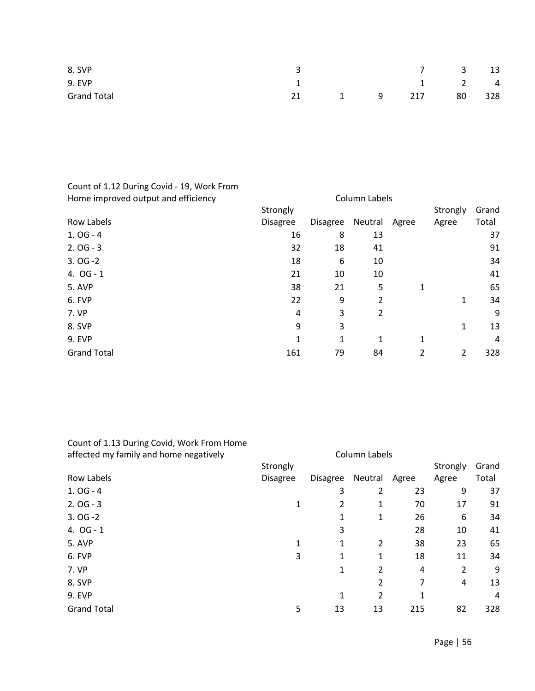| 8. SVP             |    |                |   |     | $7 \quad 3$                         | 13 |
|--------------------|----|----------------|---|-----|-------------------------------------|----|
| <b>9. EVP</b>      |    |                |   |     | $1 \qquad \qquad 2 \qquad \qquad 4$ |    |
| <b>Grand Total</b> | 21 | $\overline{1}$ | 9 | 217 | 80 328                              |    |

# Count of 1.12 During Covid - 19, Work From

| Strongly        |                 |                |   | Strongly                       | Grand |
|-----------------|-----------------|----------------|---|--------------------------------|-------|
| <b>Disagree</b> | <b>Disagree</b> |                |   | Agree                          | Total |
| 16              | 8               | 13             |   |                                | 37    |
| 32              | 18              | 41             |   |                                | 91    |
| 18              | 6               | 10             |   |                                | 34    |
| 21              | 10              | 10             |   |                                | 41    |
| 38              | 21              | 5              | 1 |                                | 65    |
| 22              | 9               | 2              |   | 1                              | 34    |
| 4               | 3               | $\overline{2}$ |   |                                | 9     |
| 9               | 3               |                |   | 1                              | 13    |
| 1               | 1               | 1              | 1 |                                | 4     |
| 161             | 79              | 84             | 2 | 2                              | 328   |
|                 |                 |                |   | Column Labels<br>Neutral Agree |       |

## Count of 1.13 During Covid, Work From Home

| affected my family and home negatively | Column Labels   |                 |                |       |          |       |
|----------------------------------------|-----------------|-----------------|----------------|-------|----------|-------|
|                                        | Strongly        |                 |                |       | Strongly | Grand |
| Row Labels                             | <b>Disagree</b> | <b>Disagree</b> | Neutral        | Agree | Agree    | Total |
| $1.0G - 4$                             |                 | 3               | 2              | 23    | 9        | 37    |
| $2.0G - 3$                             |                 | 2               | 1              | 70    | 17       | 91    |
| $3.0G - 2$                             |                 |                 | 1              | 26    | 6        | 34    |
| 4. $OG - 1$                            |                 | 3               |                | 28    | 10       | 41    |
| 5. AVP                                 | 1               | 1               | $\overline{2}$ | 38    | 23       | 65    |
| 6. FVP                                 | 3               | 1               | 1              | 18    | 11       | 34    |
| 7. VP                                  |                 | 1               | 2              | 4     | 2        | 9     |
| 8. SVP                                 |                 |                 | 2              | 7     | 4        | 13    |
| <b>9. EVP</b>                          |                 | 1               | 2              |       |          | 4     |
| <b>Grand Total</b>                     | 5               | 13              | 13             | 215   | 82       | 328   |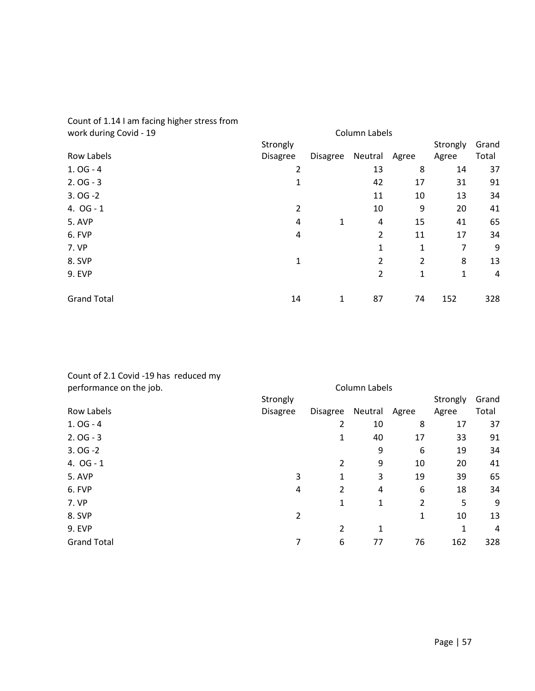| work during Covid - 19 | Column Labels   |                 |                |       |          |       |
|------------------------|-----------------|-----------------|----------------|-------|----------|-------|
|                        | Strongly        |                 |                |       | Strongly | Grand |
| Row Labels             | <b>Disagree</b> | <b>Disagree</b> | Neutral        | Agree | Agree    | Total |
| $1.0G - 4$             | 2               |                 | 13             | 8     | 14       | 37    |
| $2.0G - 3$             | 1               |                 | 42             | 17    | 31       | 91    |
| $3.0G - 2$             |                 |                 | 11             | 10    | 13       | 34    |
| 4. $OG - 1$            | 2               |                 | 10             | 9     | 20       | 41    |
| 5. AVP                 | 4               | 1               | 4              | 15    | 41       | 65    |
| 6. FVP                 | 4               |                 | 2              | 11    | 17       | 34    |
| 7. VP                  |                 |                 | 1              | 1     | 7        | 9     |
| 8. SVP                 | 1               |                 | 2              | 2     | 8        | 13    |
| <b>9. EVP</b>          |                 |                 | $\overline{2}$ | 1     | 1        | 4     |
| <b>Grand Total</b>     | 14              | 1               | 87             | 74    | 152      | 328   |

# Count of 1.14 I am facing higher stress from

| Count of 2.1 Covid -19 has reduced my |  |
|---------------------------------------|--|
| performance on the job.               |  |

| performance on the job. |                 | Column Labels   |         |       |          |       |
|-------------------------|-----------------|-----------------|---------|-------|----------|-------|
|                         | Strongly        |                 |         |       | Strongly | Grand |
| Row Labels              | <b>Disagree</b> | <b>Disagree</b> | Neutral | Agree | Agree    | Total |
| $1.0G - 4$              |                 | 2               | 10      | 8     | 17       | 37    |
| $2.0G - 3$              |                 | 1               | 40      | 17    | 33       | 91    |
| $3.0G - 2$              |                 |                 | 9       | 6     | 19       | 34    |
| 4. $OG - 1$             |                 | 2               | 9       | 10    | 20       | 41    |
| 5. AVP                  | 3               | 1               | 3       | 19    | 39       | 65    |
| 6. FVP                  | 4               | 2               | 4       | 6     | 18       | 34    |
| 7. VP                   |                 | 1               | 1       | 2     | 5        | 9     |
| 8. SVP                  | 2               |                 |         | 1     | 10       | 13    |
| <b>9. EVP</b>           |                 | 2               | 1       |       | 1        | 4     |
| <b>Grand Total</b>      | 7               | 6               | 77      | 76    | 162      | 328   |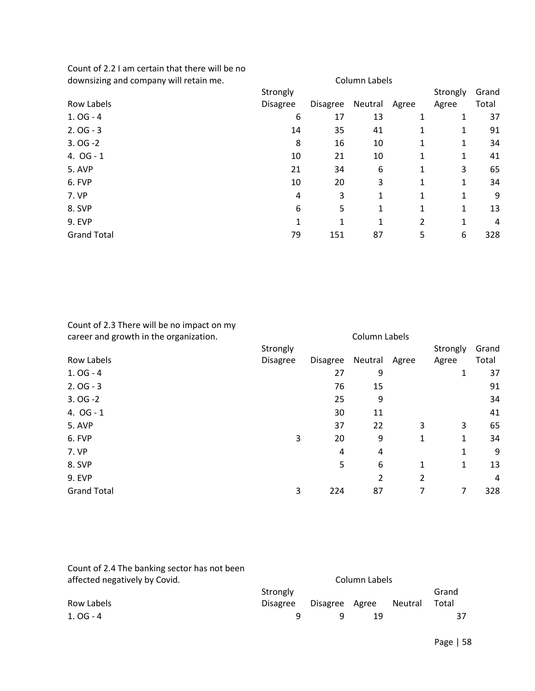Count of 2.2 I am certain that there will be no downsizing and company will retain me. Column Labels

| downsizing and company will retain me. | Column Labels |                 |              |       |          |       |
|----------------------------------------|---------------|-----------------|--------------|-------|----------|-------|
|                                        | Strongly      |                 |              |       | Strongly | Grand |
| Row Labels                             | Disagree      | <b>Disagree</b> | Neutral      | Agree | Agree    | Total |
| $1.0G - 4$                             | 6             | 17              | 13           | 1     | 1        | 37    |
| $2.0G - 3$                             | 14            | 35              | 41           | 1     | 1        | 91    |
| $3.0G - 2$                             | 8             | 16              | 10           | 1     | 1        | 34    |
| 4. $OG - 1$                            | 10            | 21              | 10           | 1     | 1        | 41    |
| 5. AVP                                 | 21            | 34              | 6            | 1     | 3        | 65    |
| 6. FVP                                 | 10            | 20              | 3            | 1     | 1        | 34    |
| 7. VP                                  | 4             | 3               | $\mathbf{1}$ | 1     | 1        | 9     |
| 8. SVP                                 | 6             | 5               | $\mathbf{1}$ | 1     | 1        | 13    |
| 9. EVP                                 | 1             | 1               | 1            | 2     | 1        | 4     |
| <b>Grand Total</b>                     | 79            | 151             | 87           | 5     | 6        | 328   |
|                                        |               |                 |              |       |          |       |

### Count of 2.3 There will be no impact on my career and growth in the organization. The column Labels career and growth in the organization.

| cared and growth in the organization. |                 |          | COMMITTED CIS |       |          |       |
|---------------------------------------|-----------------|----------|---------------|-------|----------|-------|
|                                       | Strongly        |          |               |       | Strongly | Grand |
| <b>Row Labels</b>                     | <b>Disagree</b> | Disagree | Neutral       | Agree | Agree    | Total |
| $1.0G - 4$                            |                 | 27       | 9             |       | 1        | 37    |
| $2.0G - 3$                            |                 | 76       | 15            |       |          | 91    |
| $3.0G - 2$                            |                 | 25       | 9             |       |          | 34    |
| 4. $OG - 1$                           |                 | 30       | 11            |       |          | 41    |
| 5. AVP                                |                 | 37       | 22            | 3     | 3        | 65    |
| 6. FVP                                | 3               | 20       | 9             | 1     | 1        | 34    |
| 7. VP                                 |                 | 4        | 4             |       | 1        | 9     |
| 8. SVP                                |                 | 5        | 6             | 1     | 1        | 13    |
| <b>9. EVP</b>                         |                 |          | 2             | 2     |          | 4     |
| <b>Grand Total</b>                    | 3               | 224      | 87            |       | 7        | 328   |
|                                       |                 |          |               |       |          |       |

| Count of 2.4 The banking sector has not been |                 |          |       |         |       |  |  |
|----------------------------------------------|-----------------|----------|-------|---------|-------|--|--|
| affected negatively by Covid.                | Column Labels   |          |       |         |       |  |  |
|                                              | Strongly        |          |       |         | Grand |  |  |
| Row Labels                                   | <b>Disagree</b> | Disagree | Agree | Neutral | Total |  |  |
| $1.0G - 4$                                   |                 |          | 19    |         | 37    |  |  |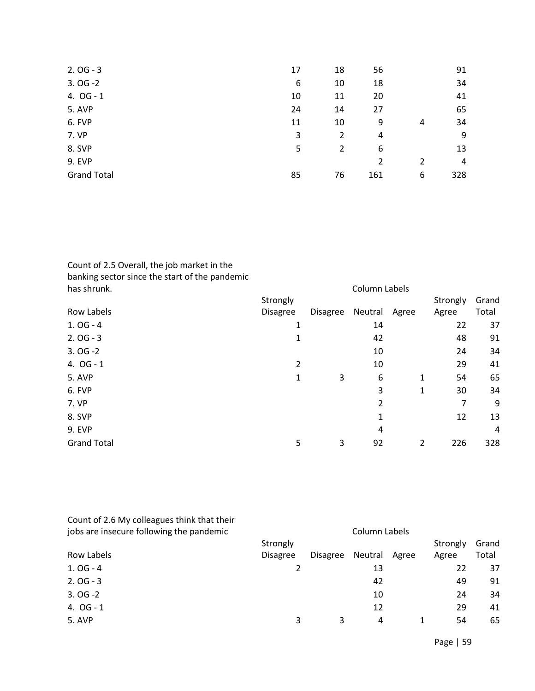| $2.0G - 3$         | 17 | 18 | 56  |   | 91  |
|--------------------|----|----|-----|---|-----|
| $3.0G - 2$         | 6  | 10 | 18  |   | 34  |
| 4. $OG - 1$        | 10 | 11 | 20  |   | 41  |
| 5. AVP             | 24 | 14 | 27  |   | 65  |
| 6. FVP             | 11 | 10 | 9   | 4 | 34  |
| 7. VP              | 3  | 2  | 4   |   | 9   |
| 8. SVP             | 5  | 2  | 6   |   | 13  |
| <b>9. EVP</b>      |    |    | 2   | 2 | 4   |
| <b>Grand Total</b> | 85 | 76 | 161 | 6 | 328 |

# Count of 2.5 Overall, the job market in the banking sector since the start of the pandemic

| has shrunk.        |          |                 | Column Labels |       |          |       |
|--------------------|----------|-----------------|---------------|-------|----------|-------|
|                    | Strongly |                 |               |       | Strongly | Grand |
| Row Labels         | Disagree | <b>Disagree</b> | Neutral       | Agree | Agree    | Total |
| $1.0G - 4$         | 1        |                 | 14            |       | 22       | 37    |
| $2.0G - 3$         |          |                 | 42            |       | 48       | 91    |
| $3.0G - 2$         |          |                 | 10            |       | 24       | 34    |
| 4. $OG - 1$        | 2        |                 | 10            |       | 29       | 41    |
| 5. AVP             | 1        | 3               | 6             | 1     | 54       | 65    |
| 6. FVP             |          |                 | 3             | 1     | 30       | 34    |
| 7. VP              |          |                 | 2             |       | 7        | 9     |
| 8. SVP             |          |                 | 1             |       | 12       | 13    |
| <b>9. EVP</b>      |          |                 | 4             |       |          | 4     |
| <b>Grand Total</b> | 5        | 3               | 92            | 2     | 226      | 328   |

| Count of 2.6 My colleagues think that their |                 |                 |         |       |          |       |  |
|---------------------------------------------|-----------------|-----------------|---------|-------|----------|-------|--|
| jobs are insecure following the pandemic    |                 | Column Labels   |         |       |          |       |  |
|                                             | Strongly        |                 |         |       | Strongly | Grand |  |
| <b>Row Labels</b>                           | <b>Disagree</b> | <b>Disagree</b> | Neutral | Agree | Agree    | Total |  |
| $1.0G - 4$                                  |                 |                 | 13      |       | 22       | 37    |  |
| $2.0G - 3$                                  |                 |                 | 42      |       | 49       | 91    |  |
| $3.0G - 2$                                  |                 |                 | 10      |       | 24       | 34    |  |
| 4. OG - 1                                   |                 |                 | 12      |       | 29       | 41    |  |
| 5. AVP                                      | 3               | 3               | 4       |       | 54       | 65    |  |
|                                             |                 |                 |         |       |          |       |  |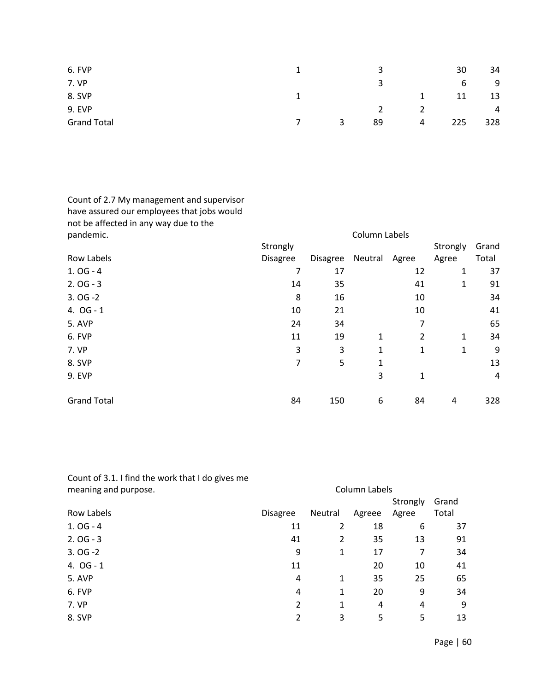| 6. FVP             |   |   | 3  |   | 30  | 34             |
|--------------------|---|---|----|---|-----|----------------|
| 7. VP              |   |   | 3  |   | 6   | 9              |
| 8. SVP             |   |   |    |   | 11  | 13             |
| 9. EVP             |   |   |    |   |     | $\overline{4}$ |
| <b>Grand Total</b> | 7 | 3 | 89 | 4 | 225 | 328            |

Count of 2.7 My management and supervisor have assured our employees that jobs would not be affected in any way due to the<br>nandemic

| pandemic.          | Column Labels   |                 |         |       |          |       |
|--------------------|-----------------|-----------------|---------|-------|----------|-------|
|                    | Strongly        |                 |         |       | Strongly | Grand |
| Row Labels         | <b>Disagree</b> | <b>Disagree</b> | Neutral | Agree | Agree    | Total |
| $1.0G - 4$         | 7               | 17              |         | 12    | 1        | 37    |
| $2.0G - 3$         | 14              | 35              |         | 41    | 1        | 91    |
| $3.0G - 2$         | 8               | 16              |         | 10    |          | 34    |
| 4. $OG - 1$        | 10              | 21              |         | 10    |          | 41    |
| 5. AVP             | 24              | 34              |         | 7     |          | 65    |
| 6. FVP             | 11              | 19              | 1       | 2     | 1        | 34    |
| 7. VP              | 3               | 3               | 1       | 1     | 1        | 9     |
| 8. SVP             | 7               | 5               | 1       |       |          | 13    |
| <b>9. EVP</b>      |                 |                 | 3       | 1     |          | 4     |
|                    |                 |                 |         |       |          |       |
| <b>Grand Total</b> | 84              | 150             | 6       | 84    | 4        | 328   |

| Count of 3.1. I find the work that I do gives me |                 |         |        |          |       |  |  |  |  |
|--------------------------------------------------|-----------------|---------|--------|----------|-------|--|--|--|--|
| meaning and purpose.                             | Column Labels   |         |        |          |       |  |  |  |  |
|                                                  |                 |         |        | Strongly | Grand |  |  |  |  |
| <b>Row Labels</b>                                | <b>Disagree</b> | Neutral | Agreee | Agree    | Total |  |  |  |  |
| $1.0G - 4$                                       | 11              | 2       | 18     | 6        | 37    |  |  |  |  |
| $2.0G - 3$                                       | 41              | 2       | 35     | 13       | 91    |  |  |  |  |
| $3.0G - 2$                                       | 9               | 1       | 17     | 7        | 34    |  |  |  |  |
| 4. OG - 1                                        | 11              |         | 20     | 10       | 41    |  |  |  |  |
| 5. AVP                                           | 4               | 1       | 35     | 25       | 65    |  |  |  |  |
| 6. FVP                                           | 4               | 1       | 20     | 9        | 34    |  |  |  |  |
| 7. VP                                            | 2               | 1       | 4      | 4        | 9     |  |  |  |  |
| 8. SVP                                           | 2               | 3       | 5      | 5        | 13    |  |  |  |  |
|                                                  |                 |         |        |          |       |  |  |  |  |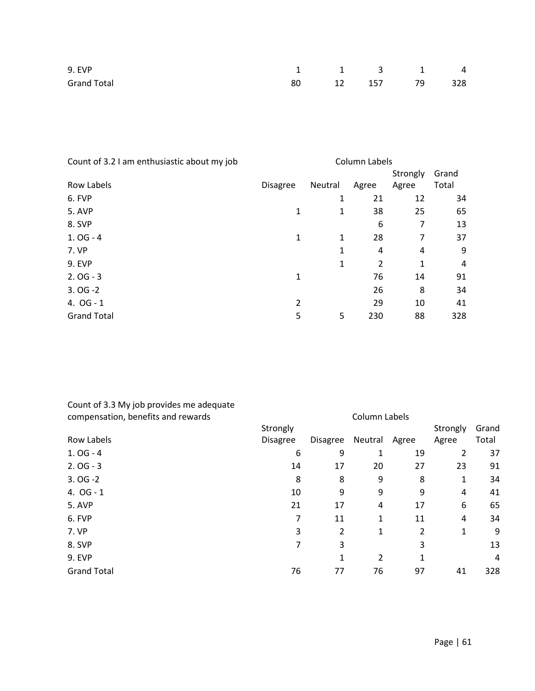| 9. EVP             |  | 1 1 3 1 4        |  |
|--------------------|--|------------------|--|
| <b>Grand Total</b> |  | 80 12 157 79 328 |  |

| Column Labels   |         |                |          |       |
|-----------------|---------|----------------|----------|-------|
|                 |         |                | Strongly | Grand |
| <b>Disagree</b> | Neutral | Agree          | Agree    | Total |
|                 | 1       | 21             | 12       | 34    |
| 1               | 1       | 38             | 25       | 65    |
|                 |         | 6              | 7        | 13    |
| 1               | 1       | 28             | 7        | 37    |
|                 | 1       | 4              | 4        | 9     |
|                 | 1       | $\overline{2}$ | 1        | 4     |
| 1               |         | 76             | 14       | 91    |
|                 |         | 26             | 8        | 34    |
| 2               |         | 29             | 10       | 41    |
| 5               | 5       | 230            | 88       | 328   |
|                 |         |                |          |       |

| Count of 3.3 My job provides me adequate |
|------------------------------------------|
| compensation, benefits and rewards       |

| compensation, benefits and rewards | Column Labels   |                 |         |       |          |       |
|------------------------------------|-----------------|-----------------|---------|-------|----------|-------|
|                                    | Strongly        |                 |         |       | Strongly | Grand |
| Row Labels                         | <b>Disagree</b> | <b>Disagree</b> | Neutral | Agree | Agree    | Total |
| $1.0G - 4$                         | 6               | 9               | 1       | 19    | 2        | 37    |
| $2.0G - 3$                         | 14              | 17              | 20      | 27    | 23       | 91    |
| $3.0G - 2$                         | 8               | 8               | 9       | 8     | 1        | 34    |
| 4. $OG - 1$                        | 10              | 9               | 9       | 9     | 4        | 41    |
| 5. AVP                             | 21              | 17              | 4       | 17    | 6        | 65    |
| 6. FVP                             | 7               | 11              | 1       | 11    | 4        | 34    |
| 7. VP                              | 3               | 2               | 1       | 2     | 1        | 9     |
| 8. SVP                             | 7               | 3               |         | 3     |          | 13    |
| <b>9. EVP</b>                      |                 | 1               | 2       |       |          | 4     |
| <b>Grand Total</b>                 | 76              | 77              | 76      | 97    | 41       | 328   |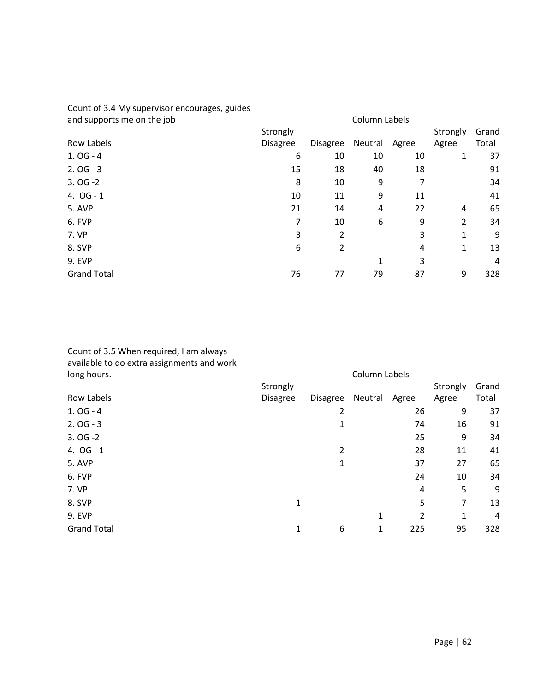# Count of 3.4 My supervisor encourages, guides

| and supports me on the job | Column Labels   |                 |         |       |          |       |
|----------------------------|-----------------|-----------------|---------|-------|----------|-------|
|                            | Strongly        |                 |         |       | Strongly | Grand |
| Row Labels                 | <b>Disagree</b> | <b>Disagree</b> | Neutral | Agree | Agree    | Total |
| $1.0G - 4$                 | 6               | 10              | 10      | 10    | 1        | 37    |
| $2.0G - 3$                 | 15              | 18              | 40      | 18    |          | 91    |
| $3.0G - 2$                 | 8               | 10              | 9       |       |          | 34    |
| 4. $OG - 1$                | 10              | 11              | 9       | 11    |          | 41    |
| 5. AVP                     | 21              | 14              | 4       | 22    | 4        | 65    |
| 6. FVP                     | 7               | 10              | 6       | 9     | 2        | 34    |
| 7. VP                      | 3               | 2               |         | 3     | 1        | 9     |
| 8. SVP                     | 6               | 2               |         | 4     | 1        | 13    |
| <b>9. EVP</b>              |                 |                 | 1       | 3     |          | 4     |
| <b>Grand Total</b>         | 76              | 77              | 79      | 87    | 9        | 328   |

### Count of 3.5 When required, I am always available to do extra assignments and work long hours. Column Labels

| Strongly |                |         |       | Strongly | Grand |  |  |
|----------|----------------|---------|-------|----------|-------|--|--|
| Disagree | Disagree       | Neutral | Agree | Agree    | Total |  |  |
|          | 2              |         | 26    | 9        | 37    |  |  |
|          | 1              |         | 74    | 16       | 91    |  |  |
|          |                |         | 25    | 9        | 34    |  |  |
|          | $\overline{2}$ |         | 28    | 11       | 41    |  |  |
|          | 1              |         | 37    | 27       | 65    |  |  |
|          |                |         | 24    | 10       | 34    |  |  |
|          |                |         | 4     | 5        | 9     |  |  |
| 1        |                |         | 5     | 7        | 13    |  |  |
|          |                | 1       | 2     | 1        | 4     |  |  |
| 1        | 6              | 1       | 225   | 95       | 328   |  |  |
|          |                |         |       |          |       |  |  |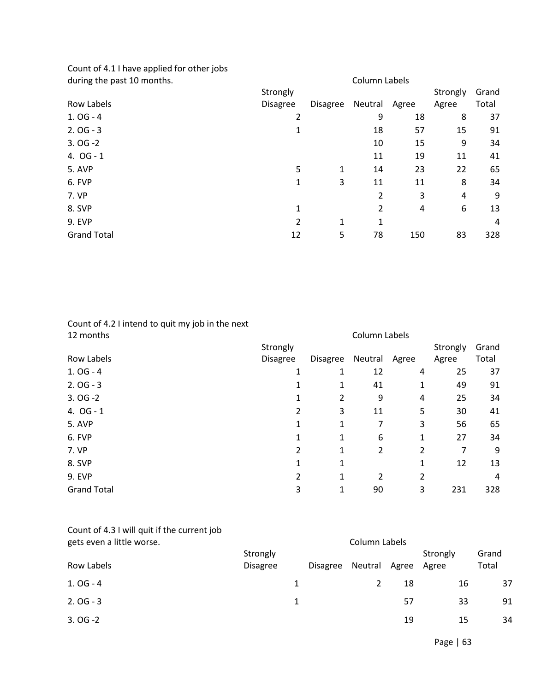Count of 4.1 I have applied for other jobs during the past 10 months. Column Labels

| admig the past to months.<br>CORTILITY LADERS |                 |                 |         |       |          |       |  |  |  |
|-----------------------------------------------|-----------------|-----------------|---------|-------|----------|-------|--|--|--|
|                                               | Strongly        |                 |         |       | Strongly | Grand |  |  |  |
| Row Labels                                    | <b>Disagree</b> | <b>Disagree</b> | Neutral | Agree | Agree    | Total |  |  |  |
| $1.0G - 4$                                    | 2               |                 | 9       | 18    | 8        | 37    |  |  |  |
| $2.0G - 3$                                    | 1               |                 | 18      | 57    | 15       | 91    |  |  |  |
| $3.0G - 2$                                    |                 |                 | 10      | 15    | 9        | 34    |  |  |  |
| 4. $OG - 1$                                   |                 |                 | 11      | 19    | 11       | 41    |  |  |  |
| 5. AVP                                        | 5               | 1               | 14      | 23    | 22       | 65    |  |  |  |
| 6. FVP                                        | 1               | 3               | 11      | 11    | 8        | 34    |  |  |  |
| 7. VP                                         |                 |                 | 2       | 3     | 4        | 9     |  |  |  |
| 8. SVP                                        | 1               |                 | 2       | 4     | 6        | 13    |  |  |  |
| <b>9. EVP</b>                                 | 2               | 1               | 1       |       |          | 4     |  |  |  |
| <b>Grand Total</b>                            | 12              | 5               | 78      | 150   | 83       | 328   |  |  |  |
|                                               |                 |                 |         |       |          |       |  |  |  |

Count of 4.2 I intend to quit my job in the next

| 12 months          | Column Labels   |                 |         |       |          |       |
|--------------------|-----------------|-----------------|---------|-------|----------|-------|
|                    | Strongly        |                 |         |       | Strongly | Grand |
| Row Labels         | <b>Disagree</b> | <b>Disagree</b> | Neutral | Agree | Agree    | Total |
| $1.0G - 4$         |                 | 1               | 12      | 4     | 25       | 37    |
| $2.0G - 3$         |                 | 1               | 41      | 1     | 49       | 91    |
| $3.0G - 2$         |                 | 2               | 9       | 4     | 25       | 34    |
| 4. $OG - 1$        | 2               | 3               | 11      | 5     | 30       | 41    |
| 5. AVP             | 1               | 1               | 7       | 3     | 56       | 65    |
| 6. FVP             | 1               | 1               | 6       | 1     | 27       | 34    |
| 7. VP              | 2               | 1               | 2       | 2     | 7        | 9     |
| 8. SVP             | 1               | 1               |         |       | 12       | 13    |
| <b>9. EVP</b>      | 2               | 1               | 2       | 2     |          | 4     |
| <b>Grand Total</b> | 3               | 1               | 90      | 3     | 231      | 328   |

| Count of 4.3 I will quit if the current job |
|---------------------------------------------|
| gets even a little worse.                   |

| Agree    | Grand<br>Total          |
|----------|-------------------------|
| 16       | 37                      |
| 33       | 91                      |
| 15       | 34                      |
| 57<br>19 | Strongly<br>Agree<br>18 |